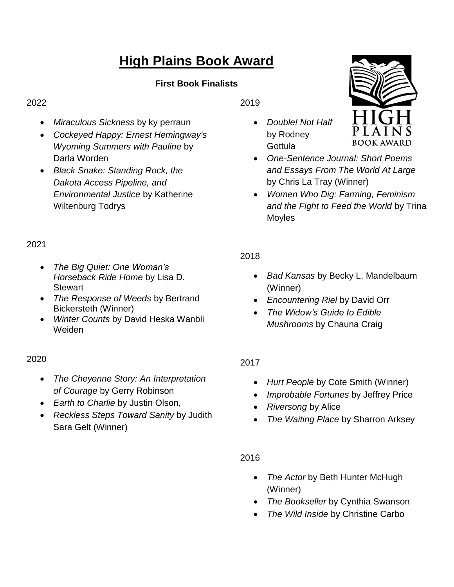# **High Plains Book Award**

# **First Book Finalists**

#### 2022

- *Miraculous Sickness* by ky perraun
- *Cockeyed Happy: Ernest Hemingway's Wyoming Summers with Pauline* by Darla Worden
- *Black Snake: Standing Rock, the Dakota Access Pipeline, and Environmental Justice* by Katherine Wiltenburg Todrys

# 2021

- *The Big Quiet: One Woman's Horseback Ride Home* by Lisa D. **Stewart**
- *The Response of Weeds* by Bertrand Bickersteth (Winner)
- *Winter Counts* by David Heska Wanbli Weiden

## 2020

- *The Cheyenne Story: An Interpretation of Courage* by Gerry Robinson
- *Earth to Charlie* by Justin Olson,
- *Reckless Steps Toward Sanity* by Judith Sara Gelt (Winner)

2019

- *Double! Not Half* by Rodney **Gottula**
- *One-Sentence Journal: Short Poems and Essays From The World At Large*  by Chris La Tray (Winner)
- *Women Who Dig: Farming, Feminism and the Fight to Feed the World* by Trina Moyles

## 2018

- *Bad Kansas* by Becky L. Mandelbaum (Winner)
- *Encountering Riel* by David Orr
- *The Widow's Guide to Edible Mushrooms* by Chauna Craig

## 2017

- *Hurt People* by Cote Smith (Winner)
- *Improbable Fortunes* by Jeffrey Price
- *Riversong* by Alice
- *The Waiting Place* by Sharron Arksey

#### 2016

- *The Actor* by Beth Hunter McHugh (Winner)
- *The Bookseller* by Cynthia Swanson
- *The Wild Inside* by Christine Carbo

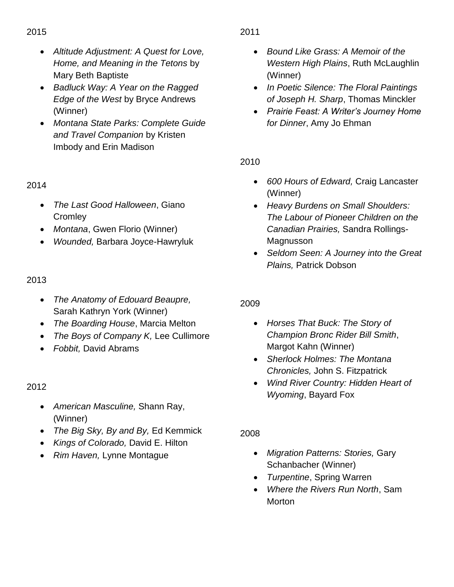- *Altitude Adjustment: A Quest for Love, Home, and Meaning in the Tetons* by Mary Beth Baptiste
- *Badluck Way: A Year on the Ragged Edge of the West* by Bryce Andrews (Winner)
- *Montana State Parks: Complete Guide and Travel Companion* by Kristen Imbody and Erin Madison

## 2014

- *The Last Good Halloween*, Giano **Cromley**
- *Montana*, Gwen Florio (Winner)
- *Wounded,* Barbara Joyce-Hawryluk

#### 2013

- *The Anatomy of Edouard Beaupre,*  Sarah Kathryn York (Winner)
- *The Boarding House*, Marcia Melton
- *The Boys of Company K,* Lee Cullimore
- *Fobbit,* David Abrams

2012

- *American Masculine,* Shann Ray, (Winner)
- *The Big Sky, By and By,* Ed Kemmick
- *Kings of Colorado,* David E. Hilton
- *Rim Haven,* Lynne Montague

#### 2011

- *Bound Like Grass: A Memoir of the Western High Plains*, Ruth McLaughlin (Winner)
- *In Poetic Silence: The Floral Paintings of Joseph H. Sharp*, Thomas Minckler
- *Prairie Feast: A Writer's Journey Home for Dinner*, Amy Jo Ehman

2010

- *600 Hours of Edward,* Craig Lancaster (Winner)
- *Heavy Burdens on Small Shoulders: The Labour of Pioneer Children on the Canadian Prairies,* Sandra Rollings-Magnusson
- *Seldom Seen: A Journey into the Great Plains,* Patrick Dobson

## 2009

- *Horses That Buck: The Story of Champion Bronc Rider Bill Smith*, Margot Kahn (Winner)
- *Sherlock Holmes: The Montana Chronicles,* John S. Fitzpatrick
- *Wind River Country: Hidden Heart of Wyoming*, Bayard Fox

2008

- *Migration Patterns: Stories,* Gary Schanbacher (Winner)
- *Turpentine*, Spring Warren
- *Where the Rivers Run North*, Sam Morton